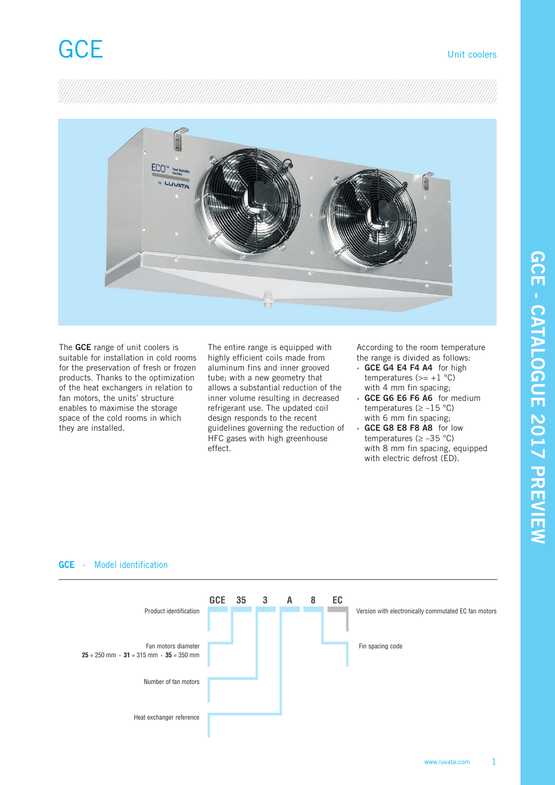

The **GCE** range of unit coolers is suitable for installation in cold rooms for the preservation of fresh or frozen products. Thanks to the optimization of the heat exchangers in relation to fan motors, the units' structure enables to maximise the storage space of the cold rooms in which they are installed.

The entire range is equipped with highly efficient coils made from aluminum fins and inner grooved tube; with a new geometry that allows a substantial reduction of the inner volume resulting in decreased refrigerant use. The updated coil design responds to the recent guidelines governing the reduction of HFC gases with high greenhouse effect.

According to the room temperature the range is divided as follows:

- **GCE G4 E4 F4 A4** for high temperatures  $(>= +1 \degree C)$ with 4 mm fin spacing;
- **GCE G6 E6 F6 A6** for medium temperatures ( $\ge -15$  °C) with 6 mm fin spacing;
- **GCE G8 E8 F8 A8** for low temperatures (≥ –35 °C) with 8 mm fin spacing, equipped with electric defrost (ED).



### **GCE** - Model identification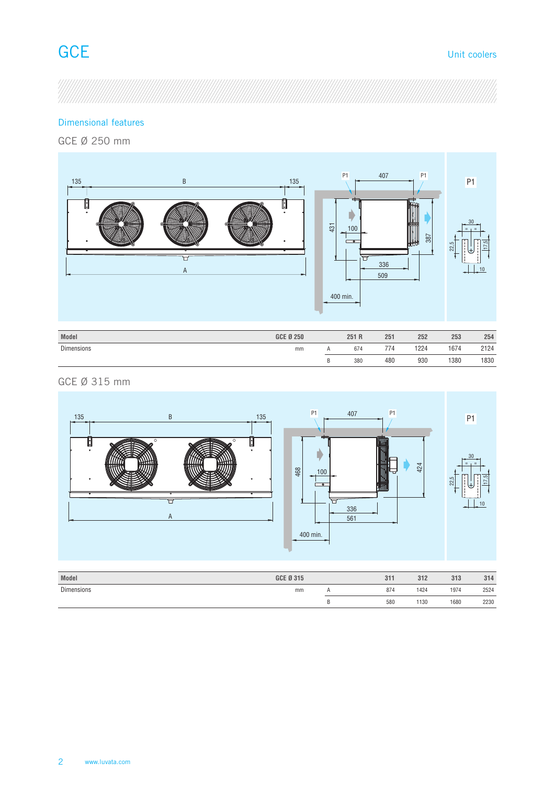B 380 480 930 1380 1830

## Dimensional features

GCE Ø 250 mm



| GCE Ø 315 mm |  |  |
|--------------|--|--|



| GCE Ø 315 | 311 | 312  | 313  | 314  |
|-----------|-----|------|------|------|
| mm        | 874 | 1424 | 1974 | 2524 |
|           | 580 | 1130 | 1680 | 2230 |
|           |     |      |      |      |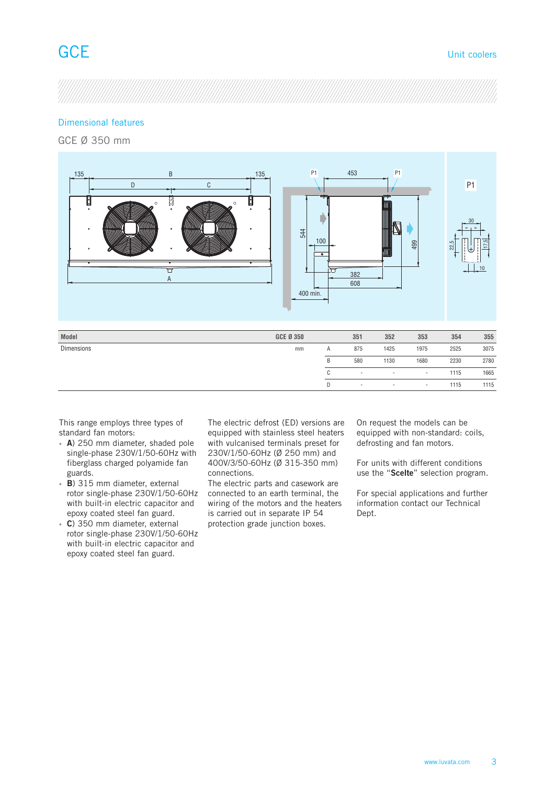## Dimensional features

GCE Ø 350 mm



This range employs three types of standard fan motors:

- **A**) 250 mm diameter, shaded pole single-phase 230V/1/50-60Hz with fiberglass charged polyamide fan guards.
- **B**) 315 mm diameter, external rotor single-phase 230V/1/50-60Hz with built-in electric capacitor and epoxy coated steel fan guard.
- **C**) 350 mm diameter, external rotor single-phase 230V/1/50-60Hz with built-in electric capacitor and epoxy coated steel fan guard.

The electric defrost (ED) versions are equipped with stainless steel heaters with vulcanised terminals preset for 230V/1/50-60Hz (Ø 250 mm) and 400V/3/50-60Hz (Ø 315-350 mm) connections.

The electric parts and casework are connected to an earth terminal, the wiring of the motors and the heaters is carried out in separate IP 54 protection grade junction boxes.

On request the models can be equipped with non-standard: coils, defrosting and fan motors.

C - - - - 1115 1665 D - - - - 1115 1115

> For units with different conditions use the "**Scelte**" selection program.

> For special applications and further information contact our Technical Dept.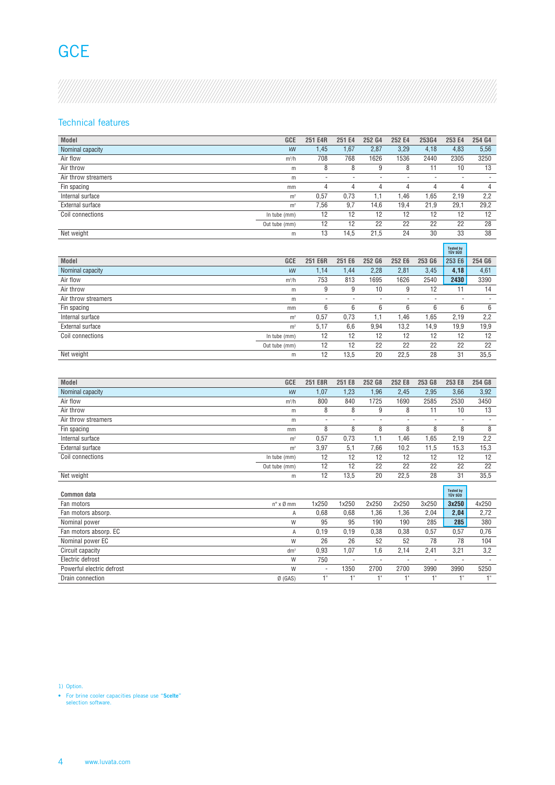## **GCE**

## Technical features

| Model               |                | GCE 251 E4R |      | 251 E4 252 G4 | 252 E4 | 253G4 | 253 E4 254 G4 |      |
|---------------------|----------------|-------------|------|---------------|--------|-------|---------------|------|
| Nominal capacity    | kW             | .45         | 1.67 | 2,87          | 3,29   | 4,18  | 4,83          | 5,56 |
| Air flow            | $m^3/h$        |             | r oo | . o26         | 1536   | 2440  | 2305          | 3250 |
| Air throw           |                |             |      |               |        |       | 10            |      |
| Air throw streamers |                |             |      |               |        |       |               |      |
| Fin spacing         | mm             |             |      |               |        |       |               |      |
| Internal surface    |                |             |      |               | .46    | 1.65  | 2,19          | 2,2  |
| External surface    | m <sup>2</sup> | 56<br>,ں ر  |      |               | 19,4   | 21,9  | 29,1          | 29,2 |
| Coil connections    | In tube (mm)   |             | 12   |               | 12     | 12    | 12            |      |
|                     | Out tube (mm)  |             | 12   |               | 22     | 22    | 22            | 28   |
| Net weight          |                |             | 14.5 |               | 24     | 30    | 33            | 38   |

|                     |                |         |        |        |        |        | <b>Tested</b><br>TÜV SÜD |                     |
|---------------------|----------------|---------|--------|--------|--------|--------|--------------------------|---------------------|
| Model               | GCE            | 251 E6R | 251 E6 | 252 G6 | 252 E6 | 253 G6 | 253 E6                   | 254 G6              |
| Nominal capacity    | kW             | .14     | 1.44   | 2,28   | 2,81   | 3,45   | 4,18                     | $\frac{4,61}{3390}$ |
| Air flow            | $m^3/h$        | 753     | 813    | 695    | 1626   | 2540   | 2430                     |                     |
| Air throw           |                |         |        |        |        | 12     | 11                       | 11                  |
| Air throw streamers |                |         |        |        | . .    |        |                          |                     |
| Fin spacing         | mn             |         |        |        |        |        |                          |                     |
| Internal surface    | m <sup>2</sup> |         | 175    |        | .46    | ,65    | 2,19                     | 2,2                 |
| External surface    | m <sup>2</sup> | : 17    | b,b    | 9,94   | 13,2   | 14,9   | 19,9                     | 19,9                |
| Coil connections    | In tube (mm)   |         | 12     |        | 12     | 12     | 12                       |                     |
|                     | Out tube (mm)  |         | 12     |        | 22     | 22     | 22                       | 22                  |
| Net weight          | m              |         | 13,5   | 20     | 22.5   | 28     | 31                       | 35,5                |

| Model                 | GCE             | 251 E8R | 251 E8 | 252 G8                   | 252 E8                   | 253 G8                   | 253 E8               | 254 G8 |
|-----------------------|-----------------|---------|--------|--------------------------|--------------------------|--------------------------|----------------------|--------|
| Nominal capacity      | kW              | ,07     | 1,23   | 1,96                     | 2,45                     | 2,95                     | 3,66                 | 3,92   |
| Air flow              | $m^3/h$         |         | 840    | 725                      | 1690                     | 2585                     | 2530                 | 3450   |
| Air throw             | m               |         |        |                          |                          |                          | 10                   | 13     |
| Air throw streamers   | m               |         |        |                          | $\overline{\phantom{a}}$ | $\overline{\phantom{a}}$ | $\sim$               | $\sim$ |
| Fin spacing           | mm              |         |        |                          |                          |                          |                      |        |
| Internal surface      | m <sup>2</sup>  |         | 0.73   |                          | .46                      | .65                      | 2,19                 | 2,2    |
| External surface      | m <sup>2</sup>  | 3,97    |        | 7,66                     | 10,2                     | 11,5                     | 15,3                 | 15,3   |
| Coil connections      | In tube (mm)    | 12      | 12     |                          | 12                       | 12                       | 12                   | 12     |
|                       | Out tube (mm)   | 12      | 12     | 22                       | 22                       | 22                       | 22                   | 22     |
| Net weight            | m               | 12      | 13,5   | 20                       | 22,5                     | 28                       | 31                   | 35,5   |
| Common data           |                 |         |        |                          |                          |                          | Tested by<br>TÜV SÜD |        |
| Fan motors            | n° x Ø mm       | 1x250   | 1x250  | 2x250                    | 2x250                    | 3x250                    | 3x250                | 4x250  |
| Fan motors absorp.    |                 | 0.68    | 0.68   | .36                      | 1,36                     | 2,04                     | 2,04                 | 2,72   |
| Nominal power         | W               |         | 95     | $\overline{100}$         | 190                      | 285                      | 285                  | 380    |
| Fan motors absorp. EC |                 | 0,19    | 0.19   | 0.38                     | 0,38                     | 0,57                     | 0,57                 | 0,76   |
| Nominal power EC      | W               | $\sim$  | 26     | 52                       | 52                       | 78                       | 78                   | 104    |
| Circuit capacity      | dm <sup>3</sup> | 0.93    | .07    | l.b                      | 2.14                     | 2.41                     | 3,21                 | 3,2    |
| Electric defrost      | W               | 750     |        | $\overline{\phantom{a}}$ | $\sim$                   | $\overline{\phantom{a}}$ |                      | $\sim$ |

- 1350 2700 2700 3990 3990 5250 1" 1" 1" 1" 1" 1" 1"

1) Option.

• For brine cooler capacities please use "**Scelte**" selection software.

Powerful electric defrost W Drain connection  $\emptyset$  (GAS)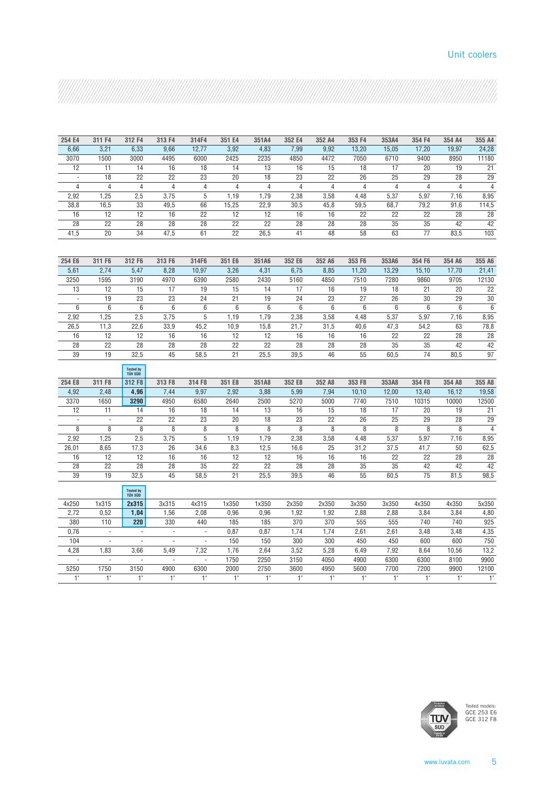### Unit coolers

| 254 E4         |                |                                    |                |                |                |                |                |                |                |                |                |                |                 |
|----------------|----------------|------------------------------------|----------------|----------------|----------------|----------------|----------------|----------------|----------------|----------------|----------------|----------------|-----------------|
|                | 311 F4         | 312 F4                             | 313 F4         | 314F4          | 351 E4         | 351A4          | 352 E4         | 352 A4         | 353 F4         | 353A4          | 354 F4         | 354 A4         | 355 A4          |
| 6,66           | 3,21           | 6,33                               | 9,66           | 12,77          | 3,92           | 4,83           | 7,99           | 9,92           | 13,20          | 15,05          | 17,20          | 19,97          | 24,28           |
| 3070           | 1500           | 3000                               | 4495           | 6000           | 2425           | 2235           | 4850           | 4472           | 7050           | 6710           | 9400           | 8950           | 11180           |
| 12             | 11             | 14                                 | 16             | 18             | 14             | 13             | 16             | 15             | 18             | 17             | 20             | 19             | 21              |
| $\sim$         | 18             | 22                                 | 22             | 23             | 20             | 18             | 23             | 22             | 26             | 25             | 29             | 28             | $\overline{29}$ |
| $\overline{4}$ | $\overline{4}$ | $\overline{4}$                     | $\overline{4}$ | $\overline{4}$ | $\overline{4}$ | $\overline{4}$ | $\overline{4}$ | $\overline{4}$ | $\overline{4}$ | $\overline{4}$ | $\overline{4}$ | $\overline{4}$ | $\overline{4}$  |
| 2,92           | 1,25           | 2,5                                | 3,75           | 5              | 1,19           | 1,79           | 2,38           | 3,58           | 4,48           | 5,37           | 5,97           | 7,16           | 8,95            |
| 38,8           | 16,5           | 33                                 | 49,5           | 66             | 15,25          | 22,9           | 30,5           | 45,8           | 59,5           | 68,7           | 79,2           | 91,6           | 114,5           |
| 16             | 12             | 12                                 | 16             | 22             | 12             | 12             | 16             | 16             | 22             | 22             | 22             | 28             | 28              |
| 28             | 22             | 28                                 | 28             | 28             | 22             | 22             | 28             | 28             | 28             | 35             | 35             | 42             | $\overline{42}$ |
| 41,5           | 20             | 34                                 | 47,5           | 61             | 22             | 26.5           | 41             | 48             | 58             | 63             | 77             | 83.5           | 103             |
|                |                |                                    |                |                |                |                |                |                |                |                |                |                |                 |
| 254 E6         | 311 F6         | 312 F6                             | 313 F6         | 314F6          | 351 E6         | 351A6          | 352 E6         | 352 A6         | 353 F6         | 353A6          | 354 F6         | 354 A6         | 355 A6          |
| 5,61           | 2,74           | 5,47                               | 8,28           | 10,97          | 3,26           | 4,31           | 6,75           | 8,85           | 11,20          | 13,29          | 15,10          | 17,70          | 21,41           |
| 3250           | 1595           | 3190                               | 4970           | 6390           | 2580           | 2430           | 5160           | 4850           | 7510           | 7280           | 9860           | 9705           | 12130           |
| 13             | 12             | 15                                 | 17             | 19             | 15             | 14             | 17             | 16             | 19             | 18             | 21             | 20             | 22              |
| $\sim$         | 19             | 23                                 | 23             | 24             | 21             | 19             | 24             | 23             | 27             | 26             | 30             | 29             | $30\,$          |
| 6              | 6              | 6                                  | 6              | 6              | 6              | 6              | 6              | 6              | 6              | 6              | 6              | 6              | $6\overline{}$  |
| 2,92           | 1,25           | 2,5                                | 3,75           | 5              | 1,19           | 1,79           | 2,38           | 3,58           | 4,48           | 5,37           | 5,97           | 7,16           | 8,95            |
| 26,5           | 11,3           | 22,6                               | 33,9           | 45,2           | 10,9           | 15,8           | 21,7           | 31,5           | 40,6           | 47,3           | 54,2           | 63             | 78,8            |
| 16             | 12             | 12                                 | 16             | 16             | 12             | 12             | 16             | 16             | 16             | 22             | 22             | 28             | 28              |
| 28             | 22             | 28                                 | 28             | 28             | 22             | 22             | 28             | 28             | 28             | 35             | 35             | 42             | 42              |
| 39             | 19             | 32,5                               | 45             | 58,5           | 21             | 25,5           | 39,5           | 46             | 55             | 60,5           | 74             | 80,5           | 97              |
|                |                | <b>Tested by</b><br><b>TÜV SÜD</b> |                |                |                |                |                |                |                |                |                |                |                 |
| 254 E8         | 311 F8         | 312 F8                             | 313 F8         | 314 F8         | 351 E8         | 351A8          | 352 E8         | 352 A8         | 353 F8         | 353A8          | 354 F8         | 354 A8         | 355 A8          |
| 4,92           | 2,48           | 4,96                               | 7,44           | 9,97           | 2,92           | 3,88           | 5,99           | 7,94           | 10,10          | 12,00          | 13,40          | 16,12          | 19,58           |
|                |                |                                    |                |                |                |                |                |                |                |                |                |                |                 |
| 3370           | 1650           | 3290                               | 4950           | 6580           | 2640           | 2500           | 5270           | 5000           | 7740           | 7510           | 10315          | 10000          | 12500           |
| 12             | 11             | 14                                 | 16             | 18             | 14             | 13             | 16             | 15             | 18             | 17             | 20             | 19             | 21              |
| $\sim$         | $\sim$         | 22                                 | 22             | 23             | 20             | 18             | 23             | 22             | 26             | 25             | 29             | 28             | 29              |
| 8              | 8              | 8                                  | 8              | 8              | 8              | 8              | 8              | 8              | 8              | 8              | 8              | 8              | $\overline{4}$  |
| 2,92           | 1,25           | 2,5                                | 3,75           | 5              | 1,19           | 1,79           | 2,38           | 3,58           | 4,48           | 5,37           | 5,97           | 7,16           | 8,95            |
| 26,01          | 8,65           | 17,3                               | 26             | 34,6           | 8,3            | 12,5           | 16,6           | 25             | 31,2           | 37,5           | 41,7           | 50             | 62,5            |
| 16             | 12             | 12                                 | 16             | 16             | 12             | 12             | 16             | 16             | 16             | 22             | 22             | 28             | 28              |
| 28             | 22             | 28                                 | 28             | 35             | 22             | 22             | 28             | 28             | 35             | 35             | 42             | 42             | 42              |
| 39             | 19             | 32,5                               | 45             | 58,5           | 21             | 25,5           | 39,5           | 46             | 55             | 60,5           | 75             | 81,5           | 98,5            |
|                |                | Tested by<br>TÜV SÜD               |                |                |                |                |                |                |                |                |                |                |                 |
| 4x250          | 1x315          | 2x315                              | 3x315          | 4x315          | 1x350          | 1x350          | 2x350          | 2x350          | 3x350          | 3x350          | 4x350          | 4x350          | 5x350           |
| 2,72           | 0,52           | 1,04                               | 1,56           | 2,08           | 0,96           | 0,96           | 1,92           | 1,92           | 2,88           | 2,88           | 3,84           | 3,84           | 4,80            |
| 380            | 110            | 220                                | 330            | 440            | 185            | 185            | 370            | 370            | 555            | 555            | 740            | 740            | 925             |
| 0,76           | $\sim$         | $\sim$                             | $\sim$         | $\sim$         | 0,87           | 0,87           | 1,74           | 1,74           | 2,61           | 2,61           | 3,48           | 3,48           | 4,35            |
| 104            | $\sim$         | $\sim$                             | $\sim$         | $\sim$         | 150            | 150            | 300            | 300            | 450            | 450            | 600            | 600            | 750             |
| 4,28           | 1,83           | 3,66                               | 5,49           | 7,32           | 1,76           | 2,64           | 3,52           | 5,28           | 6,49           | 7,92           | 8,64           | 10,56          | 13,2            |
| $\sim$         | $\sim$         | $\sim$                             | $\sim$         | $\sim$         | 1750           | 2250           | 3150           | 4050           | 4900           | 6300           | 6300           | 8100           | 9900            |
| 5250           | 1750           | 3150                               | 4900           | 6300           | 2000           | 2750           | 3600           | 4950           | 5600           | 7700           | 7200           | 9900           | 12100           |
| 1"             | 1"             | $1^{\circ}$                        | $1^{\circ}$    | 1"             | $1^{\circ}$    | $1^{\circ}$    | $-1$ "         | $1^{\circ}$    | 1"             | 1"             | $1^{\circ}$    | 1"             | $1^{\circ}$     |